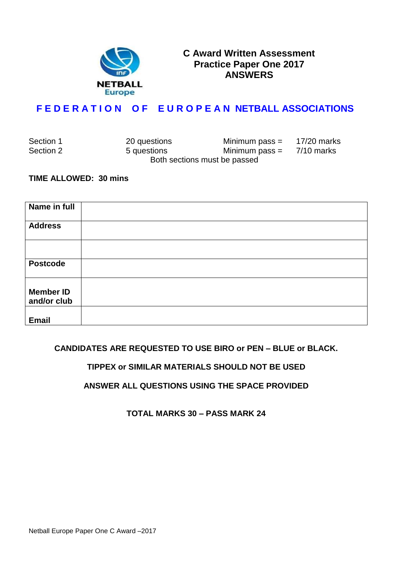

## **C Award Written Assessment Practice Paper One 2017 ANSWERS**

# **F E D E R A T I O N O F E U R O P E A N NETBALL ASSOCIATIONS**

| Section 1 | 20 questions | Minimum pass =               | 17/20 marks |
|-----------|--------------|------------------------------|-------------|
| Section 2 | 5 questions  | Minimum pass $=$ 7/10 marks  |             |
|           |              | Both sections must be passed |             |

#### **TIME ALLOWED: 30 mins**

| Name in full                    |  |
|---------------------------------|--|
| <b>Address</b>                  |  |
|                                 |  |
| <b>Postcode</b>                 |  |
| <b>Member ID</b><br>and/or club |  |
| <b>Email</b>                    |  |

### **CANDIDATES ARE REQUESTED TO USE BIRO or PEN – BLUE or BLACK.**

## **TIPPEX or SIMILAR MATERIALS SHOULD NOT BE USED**

### **ANSWER ALL QUESTIONS USING THE SPACE PROVIDED**

**TOTAL MARKS 30 – PASS MARK 24**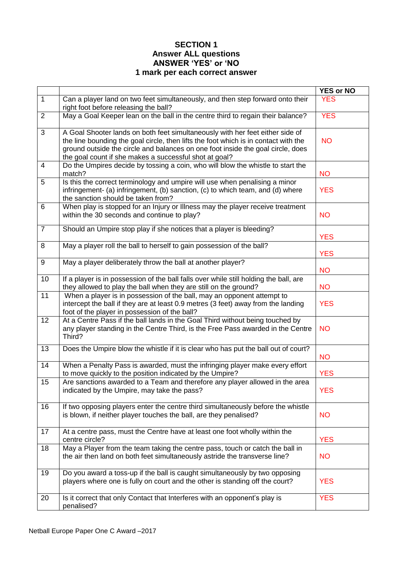## **SECTION 1 Answer ALL questions ANSWER 'YES' or 'NO 1 mark per each correct answer**

|                |                                                                                                                                                                                                                                                                                                                   | <b>YES or NO</b> |
|----------------|-------------------------------------------------------------------------------------------------------------------------------------------------------------------------------------------------------------------------------------------------------------------------------------------------------------------|------------------|
| $\overline{1}$ | Can a player land on two feet simultaneously, and then step forward onto their<br>right foot before releasing the ball?                                                                                                                                                                                           | <b>YES</b>       |
| $\overline{2}$ | May a Goal Keeper lean on the ball in the centre third to regain their balance?                                                                                                                                                                                                                                   | <b>YES</b>       |
| 3              | A Goal Shooter lands on both feet simultaneously with her feet either side of<br>the line bounding the goal circle, then lifts the foot which is in contact with the<br>ground outside the circle and balances on one foot inside the goal circle, does<br>the goal count if she makes a successful shot at goal? | <b>NO</b>        |
| $\overline{4}$ | Do the Umpires decide by tossing a coin, who will blow the whistle to start the<br>match?                                                                                                                                                                                                                         | <b>NO</b>        |
| 5              | Is this the correct terminology and umpire will use when penalising a minor<br>infringement- (a) infringement, (b) sanction, (c) to which team, and (d) where<br>the sanction should be taken from?                                                                                                               | <b>YES</b>       |
| 6              | When play is stopped for an Injury or Illness may the player receive treatment<br>within the 30 seconds and continue to play?                                                                                                                                                                                     | <b>NO</b>        |
| $\overline{7}$ | Should an Umpire stop play if she notices that a player is bleeding?                                                                                                                                                                                                                                              | <b>YES</b>       |
| 8              | May a player roll the ball to herself to gain possession of the ball?                                                                                                                                                                                                                                             | <b>YES</b>       |
| 9              | May a player deliberately throw the ball at another player?                                                                                                                                                                                                                                                       | <b>NO</b>        |
| 10             | If a player is in possession of the ball falls over while still holding the ball, are<br>they allowed to play the ball when they are still on the ground?                                                                                                                                                         | <b>NO</b>        |
| 11             | When a player is in possession of the ball, may an opponent attempt to<br>intercept the ball if they are at least 0.9 metres (3 feet) away from the landing<br>foot of the player in possession of the ball?                                                                                                      | <b>YES</b>       |
| 12             | At a Centre Pass if the ball lands in the Goal Third without being touched by<br>any player standing in the Centre Third, is the Free Pass awarded in the Centre<br>Third?                                                                                                                                        | <b>NO</b>        |
| 13             | Does the Umpire blow the whistle if it is clear who has put the ball out of court?                                                                                                                                                                                                                                | <b>NO</b>        |
| 14             | When a Penalty Pass is awarded, must the infringing player make every effort<br>to move quickly to the position indicated by the Umpire?                                                                                                                                                                          | <b>YES</b>       |
| 15             | Are sanctions awarded to a Team and therefore any player allowed in the area<br>indicated by the Umpire, may take the pass?                                                                                                                                                                                       | <b>YES</b>       |
| 16             | If two opposing players enter the centre third simultaneously before the whistle<br>is blown, if neither player touches the ball, are they penalised?                                                                                                                                                             | <b>NO</b>        |
| 17             | At a centre pass, must the Centre have at least one foot wholly within the<br>centre circle?                                                                                                                                                                                                                      | <b>YES</b>       |
| 18             | May a Player from the team taking the centre pass, touch or catch the ball in<br>the air then land on both feet simultaneously astride the transverse line?                                                                                                                                                       | <b>NO</b>        |
| 19             | Do you award a toss-up if the ball is caught simultaneously by two opposing<br>players where one is fully on court and the other is standing off the court?                                                                                                                                                       | <b>YES</b>       |
| 20             | Is it correct that only Contact that Interferes with an opponent's play is<br>penalised?                                                                                                                                                                                                                          | <b>YES</b>       |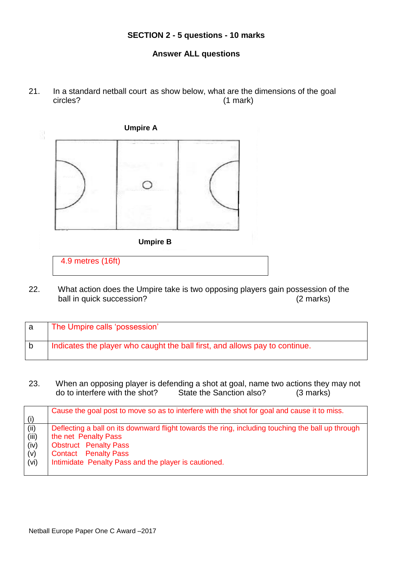#### **SECTION 2 - 5 questions - 10 marks**

## **Answer ALL questions**

21. In a standard netball court as show below, what are the dimensions of the goal circles? (1 mark)



22. What action does the Umpire take is two opposing players gain possession of the ball in quick succession? (2 marks)

| The Umpire calls 'possession'                                               |
|-----------------------------------------------------------------------------|
| Indicates the player who caught the ball first, and allows pay to continue. |

23. When an opposing player is defending a shot at goal, name two actions they may not do to interfere with the shot? State the Sanction also? (3 marks)

| (i)   | Cause the goal post to move so as to interfere with the shot for goal and cause it to miss.       |
|-------|---------------------------------------------------------------------------------------------------|
| (ii)  | Deflecting a ball on its downward flight towards the ring, including touching the ball up through |
| (iii) | the net Penalty Pass                                                                              |
| (iv)  | <b>Obstruct</b> Penalty Pass                                                                      |
| (v)   | <b>Contact</b> Penalty Pass                                                                       |
| (vi)  | Intimidate Penalty Pass and the player is cautioned.                                              |